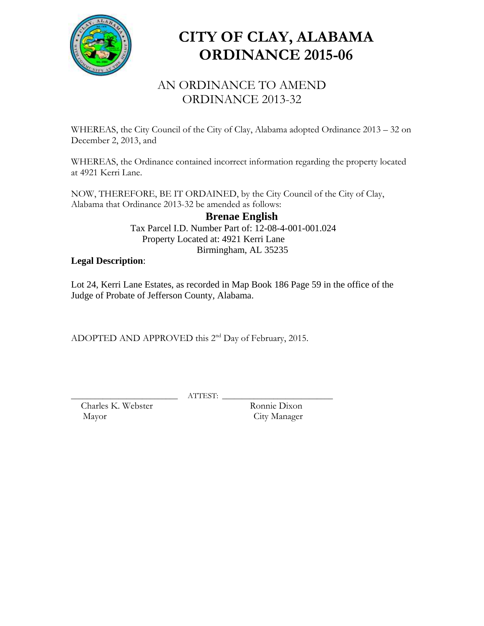

# **CITY OF CLAY, ALABAMA ORDINANCE 2015-06**

### AN ORDINANCE TO AMEND ORDINANCE 2013-32

WHEREAS, the City Council of the City of Clay, Alabama adopted Ordinance 2013 – 32 on December 2, 2013, and

WHEREAS, the Ordinance contained incorrect information regarding the property located at 4921 Kerri Lane.

NOW, THEREFORE, BE IT ORDAINED, by the City Council of the City of Clay, Alabama that Ordinance 2013-32 be amended as follows:

#### **Brenae English** Tax Parcel I.D. Number Part of: 12-08-4-001-001.024 Property Located at: 4921 Kerri Lane

Birmingham, AL 35235

### **Legal Description**:

Lot 24, Kerri Lane Estates, as recorded in Map Book 186 Page 59 in the office of the Judge of Probate of Jefferson County, Alabama.

ADOPTED AND APPROVED this 2<sup>nd</sup> Day of February, 2015.

Charles K. Webster Mayor City Manager

\_\_\_\_\_\_\_\_\_\_\_\_\_\_\_\_\_\_\_\_\_\_\_\_\_\_\_ ATTEST: \_\_\_\_\_\_\_\_\_\_\_\_\_\_\_\_\_\_\_\_\_\_\_\_\_\_\_\_